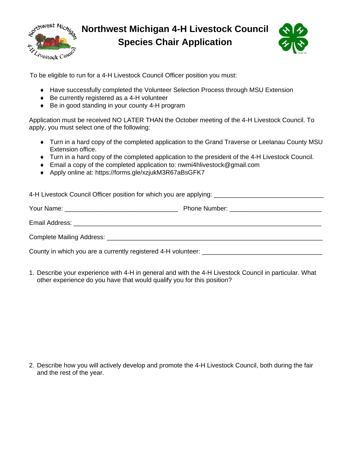

**Northwest Michigan 4-H Livestock Council Species Chair Application**



To be eligible to run for a 4-H Livestock Council Officer position you must:

- Have successfully completed the Volunteer Selection Process through MSU Extension
- ◆ Be currently registered as a 4-H volunteer
- ◆ Be in good standing in your county 4-H program

Application must be received NO LATER THAN the October meeting of the 4-H Livestock Council. To apply, you must select one of the following:

- Turn in a hard copy of the completed application to the Grand Traverse or Leelanau County MSU Extension office.
- Turn in a hard copy of the completed application to the president of the 4-H Livestock Council.
- Email a copy of the completed application to: nwmi4hlivestock@gmail.com
- ◆ Apply online at: https://forms.gle/xzjukM3R67aBsGFK7

1. Describe your experience with 4-H in general and with the 4-H Livestock Council in particular. What other experience do you have that would qualify you for this position?

2. Describe how you will actively develop and promote the 4-H Livestock Council, both during the fair and the rest of the year.